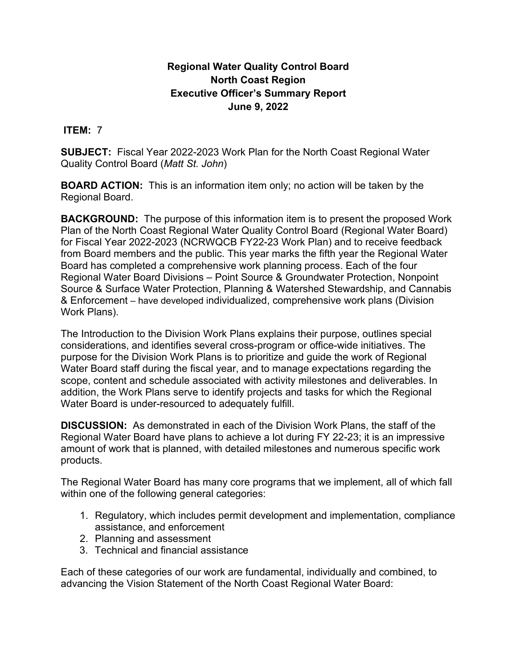# **Regional Water Quality Control Board North Coast Region Executive Officer's Summary Report June 9, 2022**

#### **ITEM:** 7

**SUBJECT:** Fiscal Year 2022-2023 Work Plan for the North Coast Regional Water Quality Control Board (*Matt St. John*)

**BOARD ACTION:** This is an information item only; no action will be taken by the Regional Board.

**BACKGROUND:** The purpose of this information item is to present the proposed Work Plan of the North Coast Regional Water Quality Control Board (Regional Water Board) for Fiscal Year 2022-2023 (NCRWQCB FY22-23 Work Plan) and to receive feedback from Board members and the public. This year marks the fifth year the Regional Water Board has completed a comprehensive work planning process. Each of the four Regional Water Board Divisions – Point Source & Groundwater Protection, Nonpoint Source & Surface Water Protection, Planning & Watershed Stewardship, and Cannabis & Enforcement – have developed individualized, comprehensive work plans (Division Work Plans).

The Introduction to the Division Work Plans explains their purpose, outlines special considerations, and identifies several cross-program or office-wide initiatives. The purpose for the Division Work Plans is to prioritize and guide the work of Regional Water Board staff during the fiscal year, and to manage expectations regarding the scope, content and schedule associated with activity milestones and deliverables. In addition, the Work Plans serve to identify projects and tasks for which the Regional Water Board is under-resourced to adequately fulfill.

**DISCUSSION:** As demonstrated in each of the Division Work Plans, the staff of the Regional Water Board have plans to achieve a lot during FY 22-23; it is an impressive amount of work that is planned, with detailed milestones and numerous specific work products.

The Regional Water Board has many core programs that we implement, all of which fall within one of the following general categories:

- 1. Regulatory, which includes permit development and implementation, compliance assistance, and enforcement
- 2. Planning and assessment
- 3. Technical and financial assistance

Each of these categories of our work are fundamental, individually and combined, to advancing the Vision Statement of the North Coast Regional Water Board: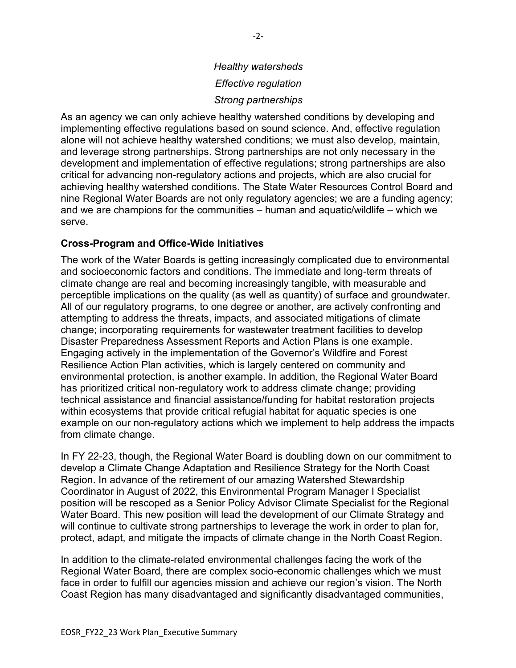# *Healthy watersheds Effective regulation Strong partnerships*

As an agency we can only achieve healthy watershed conditions by developing and implementing effective regulations based on sound science. And, effective regulation alone will not achieve healthy watershed conditions; we must also develop, maintain, and leverage strong partnerships. Strong partnerships are not only necessary in the development and implementation of effective regulations; strong partnerships are also critical for advancing non-regulatory actions and projects, which are also crucial for achieving healthy watershed conditions. The State Water Resources Control Board and nine Regional Water Boards are not only regulatory agencies; we are a funding agency; and we are champions for the communities – human and aquatic/wildlife – which we serve.

#### **Cross-Program and Office-Wide Initiatives**

The work of the Water Boards is getting increasingly complicated due to environmental and socioeconomic factors and conditions. The immediate and long-term threats of climate change are real and becoming increasingly tangible, with measurable and perceptible implications on the quality (as well as quantity) of surface and groundwater. All of our regulatory programs, to one degree or another, are actively confronting and attempting to address the threats, impacts, and associated mitigations of climate change; incorporating requirements for wastewater treatment facilities to develop Disaster Preparedness Assessment Reports and Action Plans is one example. Engaging actively in the implementation of the Governor's Wildfire and Forest Resilience Action Plan activities, which is largely centered on community and environmental protection, is another example. In addition, the Regional Water Board has prioritized critical non-regulatory work to address climate change; providing technical assistance and financial assistance/funding for habitat restoration projects within ecosystems that provide critical refugial habitat for aquatic species is one example on our non-regulatory actions which we implement to help address the impacts from climate change.

In FY 22-23, though, the Regional Water Board is doubling down on our commitment to develop a Climate Change Adaptation and Resilience Strategy for the North Coast Region. In advance of the retirement of our amazing Watershed Stewardship Coordinator in August of 2022, this Environmental Program Manager I Specialist position will be rescoped as a Senior Policy Advisor Climate Specialist for the Regional Water Board. This new position will lead the development of our Climate Strategy and will continue to cultivate strong partnerships to leverage the work in order to plan for, protect, adapt, and mitigate the impacts of climate change in the North Coast Region.

In addition to the climate-related environmental challenges facing the work of the Regional Water Board, there are complex socio-economic challenges which we must face in order to fulfill our agencies mission and achieve our region's vision. The North Coast Region has many disadvantaged and significantly disadvantaged communities,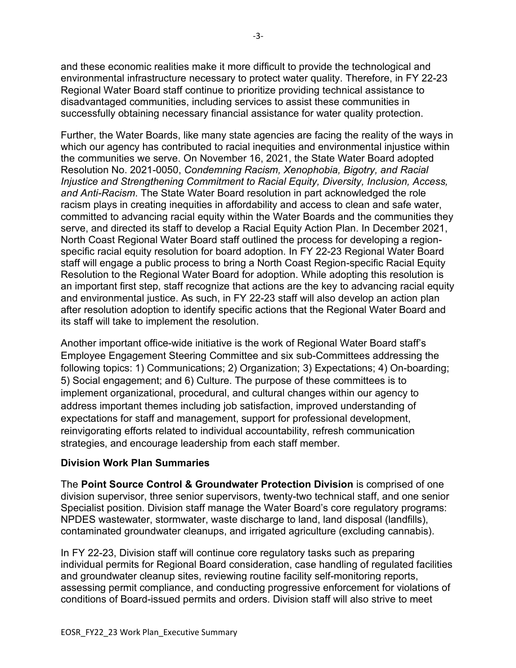and these economic realities make it more difficult to provide the technological and environmental infrastructure necessary to protect water quality. Therefore, in FY 22-23 Regional Water Board staff continue to prioritize providing technical assistance to disadvantaged communities, including services to assist these communities in successfully obtaining necessary financial assistance for water quality protection.

Further, the Water Boards, like many state agencies are facing the reality of the ways in which our agency has contributed to racial inequities and environmental injustice within the communities we serve. On November 16, 2021, the State Water Board adopted Resolution No. 2021-0050, *Condemning Racism, Xenophobia, Bigotry, and Racial Injustice and Strengthening Commitment to Racial Equity, Diversity, Inclusion, Access, and Anti-Racism*. The State Water Board resolution in part acknowledged the role racism plays in creating inequities in affordability and access to clean and safe water, committed to advancing racial equity within the Water Boards and the communities they serve, and directed its staff to develop a Racial Equity Action Plan. In December 2021, North Coast Regional Water Board staff outlined the process for developing a regionspecific racial equity resolution for board adoption. In FY 22-23 Regional Water Board staff will engage a public process to bring a North Coast Region-specific Racial Equity Resolution to the Regional Water Board for adoption. While adopting this resolution is an important first step, staff recognize that actions are the key to advancing racial equity and environmental justice. As such, in FY 22-23 staff will also develop an action plan after resolution adoption to identify specific actions that the Regional Water Board and its staff will take to implement the resolution.

Another important office-wide initiative is the work of Regional Water Board staff's Employee Engagement Steering Committee and six sub-Committees addressing the following topics: 1) Communications; 2) Organization; 3) Expectations; 4) On-boarding; 5) Social engagement; and 6) Culture. The purpose of these committees is to implement organizational, procedural, and cultural changes within our agency to address important themes including job satisfaction, improved understanding of expectations for staff and management, support for professional development, reinvigorating efforts related to individual accountability, refresh communication strategies, and encourage leadership from each staff member.

## **Division Work Plan Summaries**

The **Point Source Control & Groundwater Protection Division** is comprised of one division supervisor, three senior supervisors, twenty-two technical staff, and one senior Specialist position. Division staff manage the Water Board's core regulatory programs: NPDES wastewater, stormwater, waste discharge to land, land disposal (landfills), contaminated groundwater cleanups, and irrigated agriculture (excluding cannabis).

In FY 22-23, Division staff will continue core regulatory tasks such as preparing individual permits for Regional Board consideration, case handling of regulated facilities and groundwater cleanup sites, reviewing routine facility self-monitoring reports, assessing permit compliance, and conducting progressive enforcement for violations of conditions of Board-issued permits and orders. Division staff will also strive to meet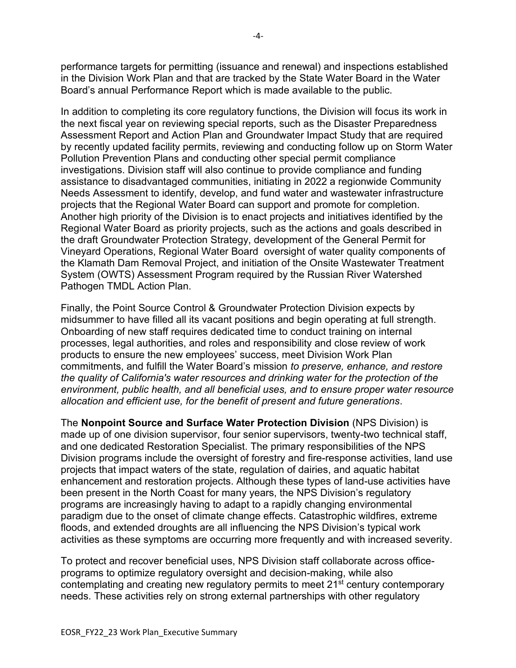performance targets for permitting (issuance and renewal) and inspections established in the Division Work Plan and that are tracked by the State Water Board in the Water Board's annual Performance Report which is made available to the public.

In addition to completing its core regulatory functions, the Division will focus its work in the next fiscal year on reviewing special reports, such as the Disaster Preparedness Assessment Report and Action Plan and Groundwater Impact Study that are required by recently updated facility permits, reviewing and conducting follow up on Storm Water Pollution Prevention Plans and conducting other special permit compliance investigations. Division staff will also continue to provide compliance and funding assistance to disadvantaged communities, initiating in 2022 a regionwide Community Needs Assessment to identify, develop, and fund water and wastewater infrastructure projects that the Regional Water Board can support and promote for completion. Another high priority of the Division is to enact projects and initiatives identified by the Regional Water Board as priority projects, such as the actions and goals described in the draft Groundwater Protection Strategy, development of the General Permit for Vineyard Operations, Regional Water Board oversight of water quality components of the Klamath Dam Removal Project, and initiation of the Onsite Wastewater Treatment System (OWTS) Assessment Program required by the Russian River Watershed Pathogen TMDL Action Plan.

Finally, the Point Source Control & Groundwater Protection Division expects by midsummer to have filled all its vacant positions and begin operating at full strength. Onboarding of new staff requires dedicated time to conduct training on internal processes, legal authorities, and roles and responsibility and close review of work products to ensure the new employees' success, meet Division Work Plan commitments, and fulfill the Water Board's mission *to preserve, enhance, and restore the quality of California's water resources and drinking water for the protection of the environment, public health, and all beneficial uses, and to ensure proper water resource allocation and efficient use, for the benefit of present and future generations*.

The **Nonpoint Source and Surface Water Protection Division** (NPS Division) is made up of one division supervisor, four senior supervisors, twenty-two technical staff, and one dedicated Restoration Specialist. The primary responsibilities of the NPS Division programs include the oversight of forestry and fire-response activities, land use projects that impact waters of the state, regulation of dairies, and aquatic habitat enhancement and restoration projects. Although these types of land-use activities have been present in the North Coast for many years, the NPS Division's regulatory programs are increasingly having to adapt to a rapidly changing environmental paradigm due to the onset of climate change effects. Catastrophic wildfires, extreme floods, and extended droughts are all influencing the NPS Division's typical work activities as these symptoms are occurring more frequently and with increased severity.

To protect and recover beneficial uses, NPS Division staff collaborate across officeprograms to optimize regulatory oversight and decision-making, while also contemplating and creating new regulatory permits to meet 21<sup>st</sup> century contemporary needs. These activities rely on strong external partnerships with other regulatory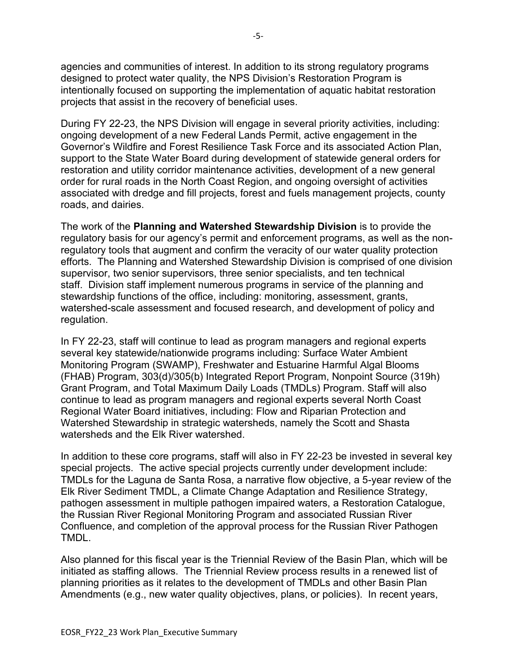agencies and communities of interest. In addition to its strong regulatory programs designed to protect water quality, the NPS Division's Restoration Program is intentionally focused on supporting the implementation of aquatic habitat restoration projects that assist in the recovery of beneficial uses.

During FY 22-23, the NPS Division will engage in several priority activities, including: ongoing development of a new Federal Lands Permit, active engagement in the Governor's Wildfire and Forest Resilience Task Force and its associated Action Plan, support to the State Water Board during development of statewide general orders for restoration and utility corridor maintenance activities, development of a new general order for rural roads in the North Coast Region, and ongoing oversight of activities associated with dredge and fill projects, forest and fuels management projects, county roads, and dairies.

The work of the **Planning and Watershed Stewardship Division** is to provide the regulatory basis for our agency's permit and enforcement programs, as well as the nonregulatory tools that augment and confirm the veracity of our water quality protection efforts. The Planning and Watershed Stewardship Division is comprised of one division supervisor, two senior supervisors, three senior specialists, and ten technical staff. Division staff implement numerous programs in service of the planning and stewardship functions of the office, including: monitoring, assessment, grants, watershed-scale assessment and focused research, and development of policy and regulation.

In FY 22-23, staff will continue to lead as program managers and regional experts several key statewide/nationwide programs including: Surface Water Ambient Monitoring Program (SWAMP), Freshwater and Estuarine Harmful Algal Blooms (FHAB) Program, 303(d)/305(b) Integrated Report Program, Nonpoint Source (319h) Grant Program, and Total Maximum Daily Loads (TMDLs) Program. Staff will also continue to lead as program managers and regional experts several North Coast Regional Water Board initiatives, including: Flow and Riparian Protection and Watershed Stewardship in strategic watersheds, namely the Scott and Shasta watersheds and the Elk River watershed.

In addition to these core programs, staff will also in FY 22-23 be invested in several key special projects. The active special projects currently under development include: TMDLs for the Laguna de Santa Rosa, a narrative flow objective, a 5-year review of the Elk River Sediment TMDL, a Climate Change Adaptation and Resilience Strategy, pathogen assessment in multiple pathogen impaired waters, a Restoration Catalogue, the Russian River Regional Monitoring Program and associated Russian River Confluence, and completion of the approval process for the Russian River Pathogen TMDL.

Also planned for this fiscal year is the Triennial Review of the Basin Plan, which will be initiated as staffing allows. The Triennial Review process results in a renewed list of planning priorities as it relates to the development of TMDLs and other Basin Plan Amendments (e.g., new water quality objectives, plans, or policies). In recent years,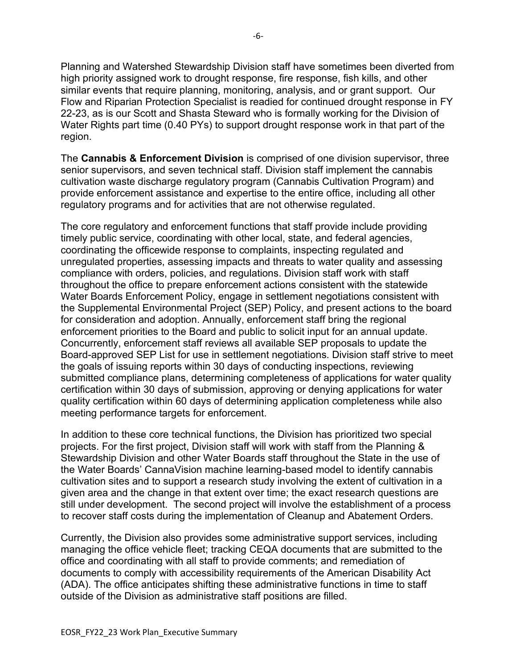Planning and Watershed Stewardship Division staff have sometimes been diverted from high priority assigned work to drought response, fire response, fish kills, and other similar events that require planning, monitoring, analysis, and or grant support. Our Flow and Riparian Protection Specialist is readied for continued drought response in FY 22-23, as is our Scott and Shasta Steward who is formally working for the Division of Water Rights part time (0.40 PYs) to support drought response work in that part of the region.

The **Cannabis & Enforcement Division** is comprised of one division supervisor, three senior supervisors, and seven technical staff. Division staff implement the cannabis cultivation waste discharge regulatory program (Cannabis Cultivation Program) and provide enforcement assistance and expertise to the entire office, including all other regulatory programs and for activities that are not otherwise regulated.

The core regulatory and enforcement functions that staff provide include providing timely public service, coordinating with other local, state, and federal agencies, coordinating the officewide response to complaints, inspecting regulated and unregulated properties, assessing impacts and threats to water quality and assessing compliance with orders, policies, and regulations. Division staff work with staff throughout the office to prepare enforcement actions consistent with the statewide Water Boards Enforcement Policy, engage in settlement negotiations consistent with the Supplemental Environmental Project (SEP) Policy, and present actions to the board for consideration and adoption. Annually, enforcement staff bring the regional enforcement priorities to the Board and public to solicit input for an annual update. Concurrently, enforcement staff reviews all available SEP proposals to update the Board-approved SEP List for use in settlement negotiations. Division staff strive to meet the goals of issuing reports within 30 days of conducting inspections, reviewing submitted compliance plans, determining completeness of applications for water quality certification within 30 days of submission, approving or denying applications for water quality certification within 60 days of determining application completeness while also meeting performance targets for enforcement.

In addition to these core technical functions, the Division has prioritized two special projects. For the first project, Division staff will work with staff from the Planning & Stewardship Division and other Water Boards staff throughout the State in the use of the Water Boards' CannaVision machine learning-based model to identify cannabis cultivation sites and to support a research study involving the extent of cultivation in a given area and the change in that extent over time; the exact research questions are still under development. The second project will involve the establishment of a process to recover staff costs during the implementation of Cleanup and Abatement Orders.

Currently, the Division also provides some administrative support services, including managing the office vehicle fleet; tracking CEQA documents that are submitted to the office and coordinating with all staff to provide comments; and remediation of documents to comply with accessibility requirements of the American Disability Act (ADA). The office anticipates shifting these administrative functions in time to staff outside of the Division as administrative staff positions are filled.